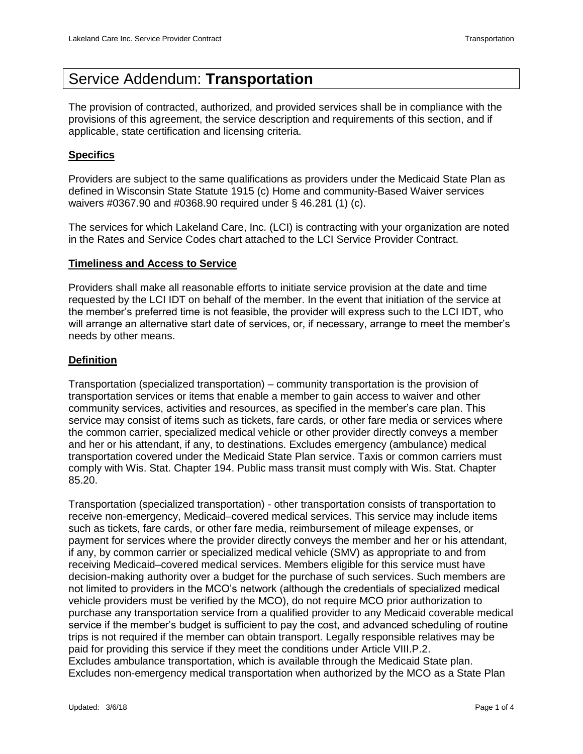# Service Addendum: **Transportation**

The provision of contracted, authorized, and provided services shall be in compliance with the provisions of this agreement, the service description and requirements of this section, and if applicable, state certification and licensing criteria.

# **Specifics**

Providers are subject to the same qualifications as providers under the Medicaid State Plan as defined in Wisconsin State Statute 1915 (c) Home and community-Based Waiver services waivers #0367.90 and #0368.90 required under § 46.281 (1) (c).

The services for which Lakeland Care, Inc. (LCI) is contracting with your organization are noted in the Rates and Service Codes chart attached to the LCI Service Provider Contract.

## **Timeliness and Access to Service**

Providers shall make all reasonable efforts to initiate service provision at the date and time requested by the LCI IDT on behalf of the member. In the event that initiation of the service at the member's preferred time is not feasible, the provider will express such to the LCI IDT, who will arrange an alternative start date of services, or, if necessary, arrange to meet the member's needs by other means.

## **Definition**

Transportation (specialized transportation) – community transportation is the provision of transportation services or items that enable a member to gain access to waiver and other community services, activities and resources, as specified in the member's care plan. This service may consist of items such as tickets, fare cards, or other fare media or services where the common carrier, specialized medical vehicle or other provider directly conveys a member and her or his attendant, if any, to destinations. Excludes emergency (ambulance) medical transportation covered under the Medicaid State Plan service. Taxis or common carriers must comply with Wis. Stat. Chapter 194. Public mass transit must comply with Wis. Stat. Chapter 85.20.

Transportation (specialized transportation) - other transportation consists of transportation to receive non-emergency, Medicaid–covered medical services. This service may include items such as tickets, fare cards, or other fare media, reimbursement of mileage expenses, or payment for services where the provider directly conveys the member and her or his attendant, if any, by common carrier or specialized medical vehicle (SMV) as appropriate to and from receiving Medicaid–covered medical services. Members eligible for this service must have decision-making authority over a budget for the purchase of such services. Such members are not limited to providers in the MCO's network (although the credentials of specialized medical vehicle providers must be verified by the MCO), do not require MCO prior authorization to purchase any transportation service from a qualified provider to any Medicaid coverable medical service if the member's budget is sufficient to pay the cost, and advanced scheduling of routine trips is not required if the member can obtain transport. Legally responsible relatives may be paid for providing this service if they meet the conditions under Article VIII.P.2. Excludes ambulance transportation, which is available through the Medicaid State plan. Excludes non-emergency medical transportation when authorized by the MCO as a State Plan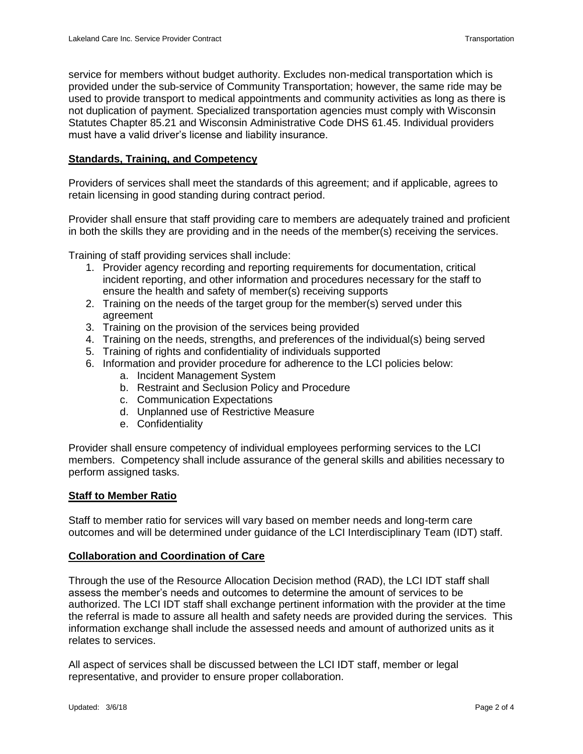service for members without budget authority. Excludes non-medical transportation which is provided under the sub-service of Community Transportation; however, the same ride may be used to provide transport to medical appointments and community activities as long as there is not duplication of payment. Specialized transportation agencies must comply with Wisconsin Statutes Chapter 85.21 and Wisconsin Administrative Code DHS 61.45. Individual providers must have a valid driver's license and liability insurance.

# **Standards, Training, and Competency**

Providers of services shall meet the standards of this agreement; and if applicable, agrees to retain licensing in good standing during contract period.

Provider shall ensure that staff providing care to members are adequately trained and proficient in both the skills they are providing and in the needs of the member(s) receiving the services.

Training of staff providing services shall include:

- 1. Provider agency recording and reporting requirements for documentation, critical incident reporting, and other information and procedures necessary for the staff to ensure the health and safety of member(s) receiving supports
- 2. Training on the needs of the target group for the member(s) served under this agreement
- 3. Training on the provision of the services being provided
- 4. Training on the needs, strengths, and preferences of the individual(s) being served
- 5. Training of rights and confidentiality of individuals supported
- 6. Information and provider procedure for adherence to the LCI policies below:
	- a. Incident Management System
	- b. Restraint and Seclusion Policy and Procedure
	- c. Communication Expectations
	- d. Unplanned use of Restrictive Measure
	- e. Confidentiality

Provider shall ensure competency of individual employees performing services to the LCI members. Competency shall include assurance of the general skills and abilities necessary to perform assigned tasks.

## **Staff to Member Ratio**

Staff to member ratio for services will vary based on member needs and long-term care outcomes and will be determined under guidance of the LCI Interdisciplinary Team (IDT) staff.

## **Collaboration and Coordination of Care**

Through the use of the Resource Allocation Decision method (RAD), the LCI IDT staff shall assess the member's needs and outcomes to determine the amount of services to be authorized. The LCI IDT staff shall exchange pertinent information with the provider at the time the referral is made to assure all health and safety needs are provided during the services. This information exchange shall include the assessed needs and amount of authorized units as it relates to services.

All aspect of services shall be discussed between the LCI IDT staff, member or legal representative, and provider to ensure proper collaboration.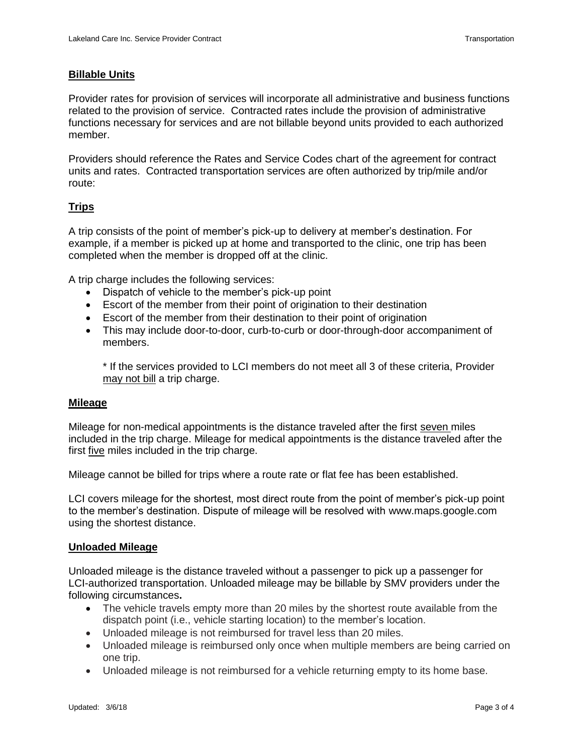# **Billable Units**

Provider rates for provision of services will incorporate all administrative and business functions related to the provision of service. Contracted rates include the provision of administrative functions necessary for services and are not billable beyond units provided to each authorized member.

Providers should reference the Rates and Service Codes chart of the agreement for contract units and rates. Contracted transportation services are often authorized by trip/mile and/or route:

# **Trips**

A trip consists of the point of member's pick-up to delivery at member's destination. For example, if a member is picked up at home and transported to the clinic, one trip has been completed when the member is dropped off at the clinic.

A trip charge includes the following services:

- Dispatch of vehicle to the member's pick-up point
- Escort of the member from their point of origination to their destination
- Escort of the member from their destination to their point of origination
- This may include door-to-door, curb-to-curb or door-through-door accompaniment of members.

\* If the services provided to LCI members do not meet all 3 of these criteria, Provider may not bill a trip charge.

## **Mileage**

Mileage for non-medical appointments is the distance traveled after the first seven miles included in the trip charge. Mileage for medical appointments is the distance traveled after the first five miles included in the trip charge.

Mileage cannot be billed for trips where a route rate or flat fee has been established.

LCI covers mileage for the shortest, most direct route from the point of member's pick-up point to the member's destination. Dispute of mileage will be resolved with www.maps.google.com using the shortest distance.

## **Unloaded Mileage**

Unloaded mileage is the distance traveled without a passenger to pick up a passenger for LCI-authorized transportation. Unloaded mileage may be billable by SMV providers under the following circumstances**.**

- The vehicle travels empty more than 20 miles by the shortest route available from the dispatch point (i.e., vehicle starting location) to the member's location.
- Unloaded mileage is not reimbursed for travel less than 20 miles.
- Unloaded mileage is reimbursed only once when multiple members are being carried on one trip.
- Unloaded mileage is not reimbursed for a vehicle returning empty to its home base.